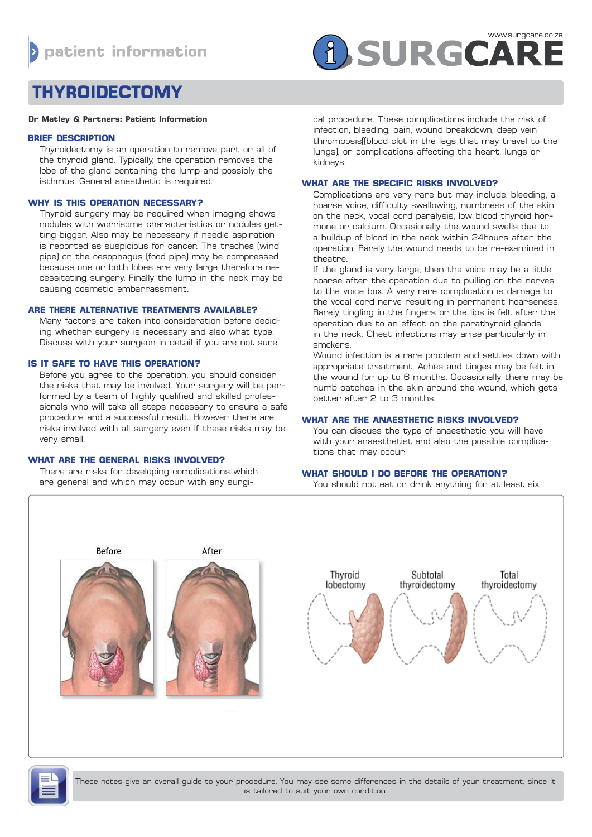# **f** SURGCARE

# **THYROIDECTOMY**

#### **Dr Matley & Partners: Patient Information**

### **BRIEF DESCRIPTION**

Thyroidectomy is an operation to remove part or all of the thyroid gland. Typically, the operation removes the lobe of the gland containing the lump and possibly the isthmus. General anesthetic is required.

# **WHY IS THIS OPERATION NECESSARY?**

Thyroid surgery may be required when imaging shows nodules with worrisome characteristics or nodules getting bigger. Also may be necessary if needle aspiration is reported as suspicious for cancer. The trachea (wind pipe) or the oesophagus (food pipe) may be compressed because one or both lobes are very large therefore necessitating surgery. Finally the lump in the neck may be causing cosmetic embarrassment.

# **ARE THERE ALTERNATIVE TREATMENTS AVAILABLE?**

Many factors are taken into consideration before deciding whether surgery is necessary and also what type. Discuss with your surgeon in detail if you are not sure.

# **IS IT SAFE TO HAVE THIS OPERATION?**

Before you agree to the operation, you should consider the risks that may be involved. Your surgery will be performed by a team of highly qualified and skilled professionals who will take all steps necessary to ensure a safe procedure and a successful result. However there are risks involved with all surgery even if these risks may be very small.

#### **WHAT ARE THE GENERAL RISKS INVOLVED?**

There are risks for developing complications which are general and which may occur with any surgi-

### cal procedure. These complications include the risk of infection, bleeding, pain, wound breakdown, deep vein thrombosis((blood clot in the legs that may travel to the lungs), or complications affecting the heart, lungs or kidneys.

# **WHAT ARE THE SPECIFIC RISKS INVOLVED?**

Complications are very rare but may include: bleeding, a hoarse voice, difficulty swallowing, numbness of the skin on the neck, vocal cord paralysis, low blood thyroid hormone or calcium. Occasionally the wound swells due to a buildup of blood in the neck within 24hours after the operation. Rarely the wound needs to be re-examined in theatre.

If the gland is very large, then the voice may be a little hoarse after the operation due to pulling on the nerves to the voice box. A very rare complication is damage to the vocal cord nerve resulting in permanent hoarseness. Rarely tingling in the fingers or the lips is felt after the operation due to an effect on the parathyroid glands in the neck. Chest infections may arise particularly in smokers.

Wound infection is a rare problem and settles down with appropriate treatment. Aches and tinges may be felt in the wound for up to 6 months. Occasionally there may be numb patches in the skin around the wound, which gets better after 2 to 3 months.

# **WHAT ARE THE ANAESTHETIC RISKS INVOLVED?**

You can discuss the type of anaesthetic you will have with your anaesthetist and also the possible complications that may occur.

# **WHAT SHOULD I DO BEFORE THE OPERATION?**

You should not eat or drink anything for at least six



These notes give an overall guide to your procedure. You may see some differences in the details of your treatment, since it is tailored to suit your own condition.